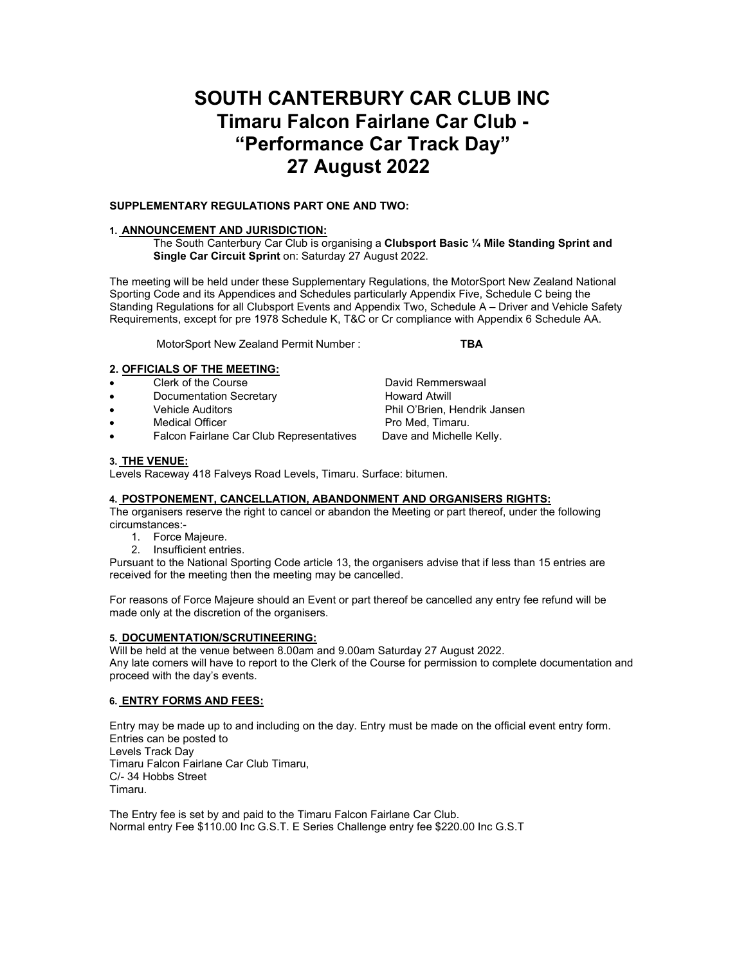# **SOUTH CANTERBURY CAR CLUB INC Timaru Falcon Fairlane Car Club - "Performance Car Track Day" 27 August 2022**

## **SUPPLEMENTARY REGULATIONS PART ONE AND TWO:**

## **1. ANNOUNCEMENT AND JURISDICTION:**

The South Canterbury Car Club is organising a **Clubsport Basic ¼ Mile Standing Sprint and Single Car Circuit Sprint** on: Saturday 27 August 2022.

The meeting will be held under these Supplementary Regulations, the MotorSport New Zealand National Sporting Code and its Appendices and Schedules particularly Appendix Five, Schedule C being the Standing Regulations for all Clubsport Events and Appendix Two, Schedule A – Driver and Vehicle Safety Requirements, except for pre 1978 Schedule K, T&C or Cr compliance with Appendix 6 Schedule AA.

MotorSport New Zealand Permit Number : **TBA** 

## **2. OFFICIALS OF THE MEETING:**

- **Clerk of the Course Clerk of the Course Clerk of the Course Clerk of the Course Clerk of the Course Clerk and C**
- Documentation Secretary **Howard Atwill**
- Vehicle Auditors Phil O'Brien, Hendrik Jansen
- 
- Medical Officer **From Action Contains Meders** Pro Med, Timaru.<br>• Falcon Fairlane Car Club Representatives Dave and Michelle Kelly. Falcon Fairlane Car Club Representatives

**3. THE VENUE:**

Levels Raceway 418 Falveys Road Levels, Timaru. Surface: bitumen.

# **4. POSTPONEMENT, CANCELLATION, ABANDONMENT AND ORGANISERS RIGHTS:**

The organisers reserve the right to cancel or abandon the Meeting or part thereof, under the following circumstances:-

- 1. Force Majeure.
- 2. Insufficient entries.

Pursuant to the National Sporting Code article 13, the organisers advise that if less than 15 entries are received for the meeting then the meeting may be cancelled.

For reasons of Force Majeure should an Event or part thereof be cancelled any entry fee refund will be made only at the discretion of the organisers.

### **5. DOCUMENTATION/SCRUTINEERING:**

Will be held at the venue between 8.00am and 9.00am Saturday 27 August 2022. Any late comers will have to report to the Clerk of the Course for permission to complete documentation and proceed with the day's events.

# **6. ENTRY FORMS AND FEES:**

Entry may be made up to and including on the day. Entry must be made on the official event entry form. Entries can be posted to Levels Track Day Timaru Falcon Fairlane Car Club Timaru, C/- 34 Hobbs Street Timaru.

The Entry fee is set by and paid to the Timaru Falcon Fairlane Car Club. Normal entry Fee \$110.00 Inc G.S.T. E Series Challenge entry fee \$220.00 Inc G.S.T